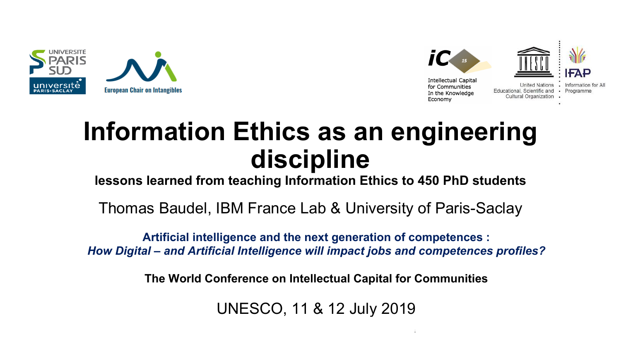



## **Information Ethics as an engineering discipline**

**lessons learned from teaching Information Ethics to 450 PhD students**

Thomas Baudel, IBM France Lab & University of Paris-Saclay

**Artificial intelligence and the next generation of competences :** *How Digital – and Artificial Intelligence will impact jobs and competences profiles?*

**The World Conference on Intellectual Capital for Communities**

UNESCO, 11 & 12 July 2019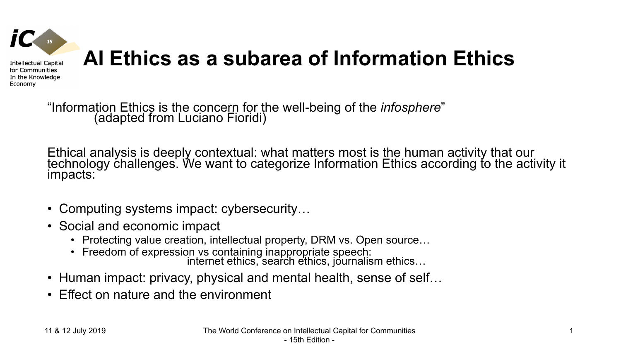

"Information Ethics is the concern for the well-being of the *infosphere*" (adapted from Luciano Fioridi)

Ethical analysis is deeply contextual: what matters most is the human activity that our technology challenges. We want to categorize Information Ethics according to the activity it impacts:

- Computing systems impact: cybersecurity...
- Social and economic impact
	- Protecting value creation, intellectual property, DRM vs. Open source…
	- Freedom of expression vs containing inappropriate speech:<br>internet ethics, search ethics, journalism ethics...
- Human impact: privacy, physical and mental health, sense of self...
- Effect on nature and the environment

Economy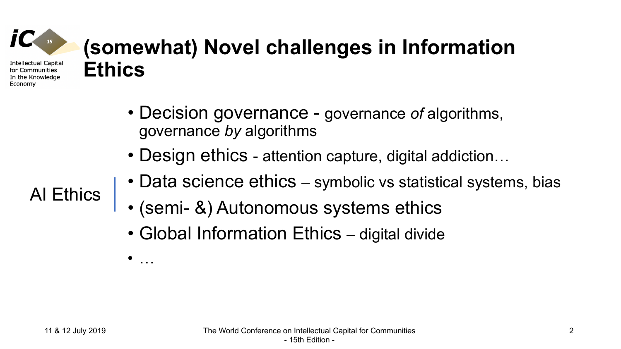# **(somewhat) Novel challenges in Information Ethics**

- Decision governance governance *of* algorithms, governance *by* algorithms
- Design ethics attention capture, digital addiction...
- Data science ethics symbolic vs statistical systems, bias
- (semi- &) Autonomous systems ethics
- Global Information Ethics digital divide

AI Ethics

**Intellectual Capital** for Communities In the Knowledge

Economy

• …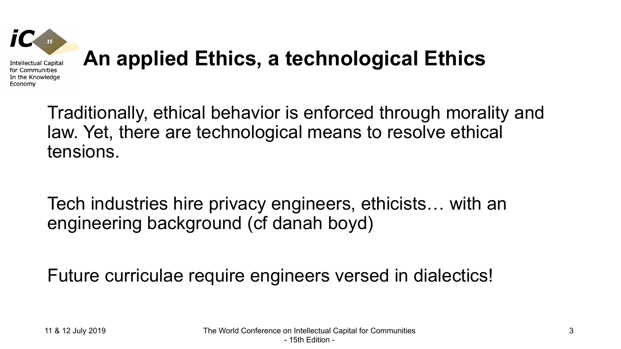

Traditionally, ethical behavior is enforced through morality and law. Yet, there are technological means to resolve ethical tensions.

Tech industries hire privacy engineers, ethicists… with an engineering background (cf danah boyd)

Future curriculae require engineers versed in dialectics!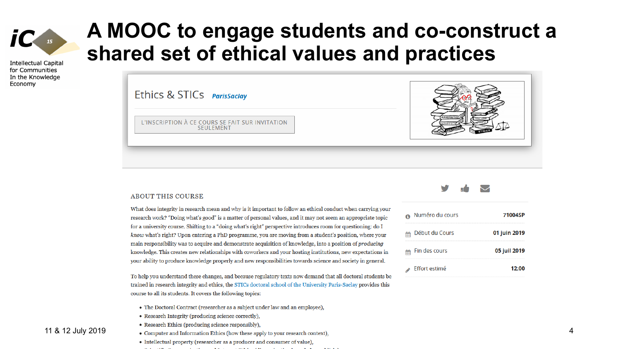

**Intellectual Capital** for Communities In the Knowledge Economy

### **A MOOC to engage students and co-construct a shared set of ethical values and practices**

Ethics & STICs ParisSaclay L'INSCRIPTION À CE COURS SE FAIT SUR INVITATION **SFUI FMFNT** 



What does integrity in research mean and why is it important to follow an ethical conduct when carrying your research work? "Doing what's good" is a matter of personal values, and it may not seem an appropriate topic for a university course. Shifting to a "doing what's right" perspective introduces room for questioning: do I know what's right? Upon entering a PhD programme, you are moving from a student's position, where your main responsibility was to acquire and demonstrate acquisition of knowledge, into a position of *producing* knowledge. This creates new relationships with coworkers and your hosting institutions, new expectations in your ability to produce knowledge properly and new responsibilities towards science and society in general.

To help you understand these changes, and because regulatory texts now demand that all doctoral students be trained in research integrity and ethics, the STICs doctoral school of the University Paris-Saclay provides this course to all its students. It covers the following topics:

- The Doctoral Contract (researcher as a subject under law and an employee),
- Research Integrity (producing science correctly),
- Research Ethics (producing science responsibly),
- 11 & 12 July 2019 Computer and Information Ethics (how these apply to your research context),
	- Intellectual property (researcher as a producer and consumer of value).
	- the contract of the contract of the contract of the contract of the contract of the contract of the contract of





| Numéro du cours | 71004SP      |
|-----------------|--------------|
| Début du Cours  | 01 juin 2019 |
| Fin des cours   | 05 juil 2019 |
| Effort estimé   | 12:00        |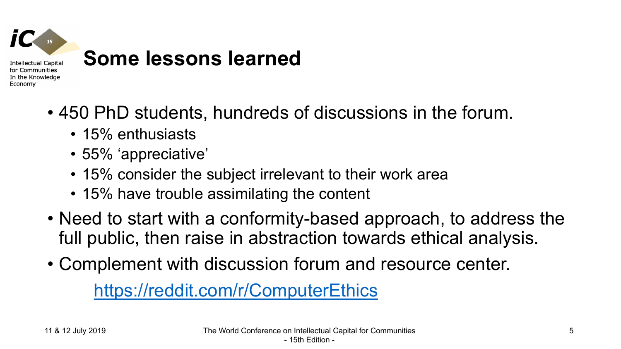

- 450 PhD students, hundreds of discussions in the forum.
	- 15% enthusiasts
	- 55% 'appreciative'
	- 15% consider the subject irrelevant to their work area
	- 15% have trouble assimilating the content
- Need to start with a conformity-based approach, to address the full public, then raise in abstraction towards ethical analysis.
- Complement with discussion forum and resource center.

[https://reddit.com/r/ComputerEthics](https://reddit.com/ComputerEthics)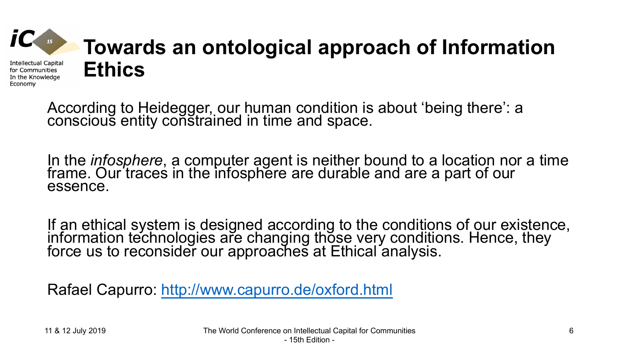

According to Heidegger, our human condition is about 'being there': a conscious entity constrained in time and space.

In the *infosphere*, a computer agent is neither bound to a location nor a time frame. Our traces in the infosphere are durable and are a part of our essence.

If an ethical system is designed according to the conditions of our existence, information technologies are changing those very conditions. Hence, they force us to reconsider our approaches at Ethical analysis.

Rafael Capurro:<http://www.capurro.de/oxford.html>